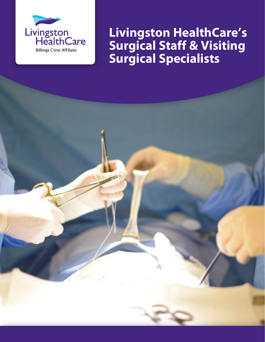

**Livingston HealthCare's Surgical Staff & Visiting Surgical Specialists**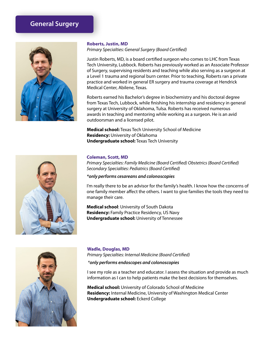## **General Surgery**



#### **Roberts, Justin, MD**

*Primary Specialties: General Surgery (Board Certified)*

Justin Roberts, MD, is a board certified surgeon who comes to LHC from Texas Tech University, Lubbock. Roberts has previously worked as an Associate Professor of Surgery, supervising residents and teaching while also serving as a surgeon at a Level 1 trauma and regional burn center. Prior to teaching, Roberts ran a private practice and worked in general ER surgery and trauma coverage at Hendrick Medical Center, Abilene, Texas.

Roberts earned his Bachelor's degree in biochemistry and his doctoral degree from Texas Tech, Lubbock, while finishing his internship and residency in general surgery at University of Oklahoma, Tulsa. Roberts has received numerous awards in teaching and mentoring while working as a surgeon. He is an avid outdoorsman and a licensed pilot.

**Medical school:** Texas Tech University School of Medicine **Residency:** University of Oklahoma **Undergraduate school:** Texas Tech University



#### **Coleman, Scott, MD**

*Primary Specialties: Family Medicine (Board Certified) Obstetrics (Board Certified) Secondary Specialties: Pediatrics (Board Certified)*

*\*only performs cesareans and colonoscopies*

I'm really there to be an advisor for the family's health. I know how the concerns of one family member affect the others. I want to give families the tools they need to manage their care.

**Medical school**: University of South Dakota **Residency:** Family Practice Residency, US Navy **Undergraduate school:** University of Tennessee



#### **Wadle, Douglas, MD**

*Primary Specialties: Internal Medicine (Board Certified)*

 *\*only performs endoscopes and colonoscopies*

I see my role as a teacher and educator. I assess the situation and provide as much information as I can to help patients make the best decisions for themselves.

**Medical school:** University of Colorado School of Medicine **Residency:** Internal Medicine, University of Washington Medical Center **Undergraduate school:** Eckerd College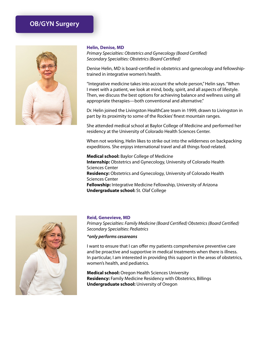## **OB/GYN Surgery**



#### **Helin, Denise, MD**

*Primary Specialties: Obstetrics and Gynecology (Board Certified) Secondary Specialties: Obstetrics (Board Certified)*

Denise Helin, MD is board-certified in obstetrics and gynecology and fellowshiptrained in integrative women's health.

"Integrative medicine takes into account the whole person," Helin says. "When I meet with a patient, we look at mind, body, spirit, and all aspects of lifestyle. Then, we discuss the best options for achieving balance and wellness using all appropriate therapies—both conventional and alternative."

Dr. Helin joined the Livingston HealthCare team in 1999, drawn to Livingston in part by its proximity to some of the Rockies' finest mountain ranges.

She attended medical school at Baylor College of Medicine and performed her residency at the University of Colorado Health Sciences Center.

When not working, Helin likes to strike out into the wilderness on backpacking expeditions. She enjoys international travel and all things food-related.

**Medical school:** Baylor College of Medicine **Internship:** Obstetrics and Gynecology, University of Colorado Health Sciences Center **Residency:** Obstetrics and Gynecology, University of Colorado Health Sciences Center **Fellowship:** Integrative Medicine Fellowship, University of Arizona **Undergraduate school:** St. Olaf College



#### **Reid, Genevieve, MD**

*Primary Specialties: Family Medicine (Board Certified) Obstetrics (Board Certified) Secondary Specialties: Pediatrics*

#### *\*only performs cesareans*

I want to ensure that I can offer my patients comprehensive preventive care and be proactive and supportive in medical treatments when there is illness. In particular, I am interested in providing this support in the areas of obstetrics, women's health, and pediatrics.

**Medical school:** Oregon Health Sciences University **Residency:** Family Medicine Residency with Obstetrics, Billings **Undergraduate school:** University of Oregon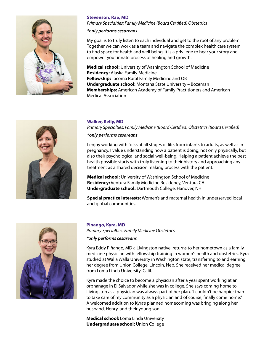

#### **Stevenson, Rae, MD**

*Primary Specialties: Family Medicine (Board Certified) Obstetrics*

#### *\*only performs cesareans*

My goal is to truly listen to each individual and get to the root of any problem. Together we can work as a team and navigate the complex health care system to find space for health and well being. It is a privilege to hear your story and empower your innate process of healing and growth.

**Medical school:** University of Washington School of Medicine **Residency:** Alaska Family Medicine **Fellowship:** Tacoma Rural Family Medicine and OB **Undergraduate school:** Montana State University – Bozeman **Memberships:** American Academy of Family Practitioners and American Medical Association



#### **Walker, Kelly, MD**

*Primary Specialties: Family Medicine (Board Certified) Obstetrics (Board Certified)*

#### *\*only performs cesareans*

I enjoy working with folks at all stages of life, from infants to adults, as well as in pregnancy. I value understanding how a patient is doing, not only physically, but also their psychological and social well-being. Helping a patient achieve the best health possible starts with truly listening to their history and approaching any treatment as a shared decision making process with the patient.

**Medical school:** University of Washington School of Medicine **Residency:** Ventura Family Medicine Residency, Ventura CA **Undergraduate school:** Dartmouth College, Hanover, NH

**Special practice interests:** Women's and maternal health in underserved local and global communities.



#### **Pinango, Kyra, MD**

*Primary Specialties: Family Medicine Obstetrics*

#### *\*only performs cesareans*

Kyra Eddy Piñango, MD a Livingston native, returns to her hometown as a family medicine physician with fellowship training in women's health and obstetrics. Kyra studied at Walla Walla University in Washington state, transferring to and earning her degree from Union College, Lincoln, Neb. She received her medical degree from Loma Linda University, Calif.

Kyra made the choice to become a physician after a year spent working at an orphanage in El Salvador while she was in college. She says coming home to Livingston as a physician was always part of her plan. "I couldn't be happier than to take care of my community as a physician and of course, finally come home." A welcomed addition to Kyra's planned homecoming was bringing along her husband, Henry, and their young son.

**Medical school:** Loma Linda University **Undergraduate school:** Union College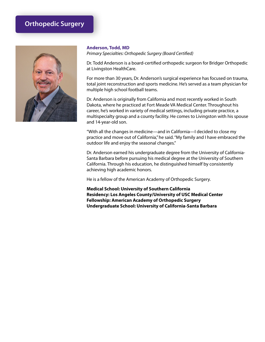## **Orthopedic Surgery**



#### **Anderson, Todd, MD**

*Primary Specialties: Orthopedic Surgery (Board Certified)*

Dr. Todd Anderson is a board-certified orthopedic surgeon for Bridger Orthopedic at Livingston HealthCare.

For more than 30 years, Dr. Anderson's surgical experience has focused on trauma, total joint reconstruction and sports medicine. He's served as a team physician for multiple high school football teams.

Dr. Anderson is originally from California and most recently worked in South Dakota, where he practiced at Fort Meade VA Medical Center. Throughout his career, he's worked in variety of medical settings, including private practice, a multispecialty group and a county facility. He comes to Livingston with his spouse and 14-year-old son.

"With all the changes in medicine—and in California—I decided to close my practice and move out of California," he said. "My family and I have embraced the outdoor life and enjoy the seasonal changes."

Dr. Anderson earned his undergraduate degree from the University of California-Santa Barbara before pursuing his medical degree at the University of Southern California. Through his education, he distinguished himself by consistently achieving high academic honors.

He is a fellow of the American Academy of Orthopedic Surgery.

**Medical School: University of Southern California Residency: Los Angeles County/University of USC Medical Center Fellowship: American Academy of Orthopedic Surgery Undergraduate School: University of California-Santa Barbara**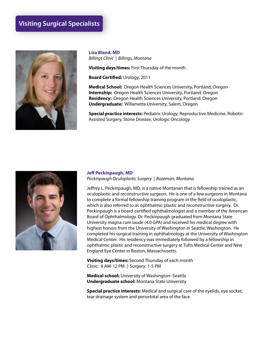## **Visiting Surgical Specialists**



**Lisa Bland, MD** *Billings Clinic | Billings, Montana*

**Visiting days/times:** First Thursday of the month

**Board Certified:** Urology, 2011

**Medical School:** Oregon Health Sciences University, Portland, Oregon **Internship:** Oregon Health Sciences University, Portland, Oregon **Residency:** Oregon Health Sciences University, Portland, Oregon **Undergraduate:** Willamette University, Salem, Oregon

**Special practice interests:** Pediatric Urology, Reproductive Medicine, Robotic-Assisted Surgery, Stone Disease, Urologic Oncology



### **Jeff Peckinpaugh, MD**

*Peckinpaugh Oculoplastic Surgery | Bozeman, Montana*

Jeffrey L. Peckinpaugh, MD, is a native Montanan that is fellowship trained as an oculoplastic and reconstructive surgeon. He is one of a few surgeons in Montana to complete a formal fellowship training program in the field of oculoplastic, which is also referred to as ophthalmic plastic and reconstructive surgery. Dr. Peckinpaugh is a board-certified ophthalmologist and a member of the American Board of Ophthalmology. Dr. Peckinpaugh graduated from Montana State University magna cum laude (4.0 GPA) and received his medical degree with highest honors from the University of Washington in Seattle, Washington. He completed his surgical training in ophthalmology at the University of Washington Medical Center. His residency was immediately followed by a fellowship in ophthalmic plastic and reconstructive surgery at Tufts Medical Center and New England Eye Center in Boston, Massachusetts.

**Visiting days/times:** Second Thursday of each month Clinic: 8 AM-12 PM | Surgery: 1-5 PM

**Medical school:** University of Washington–Seattle **Undergraduate school:** Montana State University

**Special practice interests:** Medical and surgical care of the eyelids, eye socket, tear drainage system and periorbital area of the face.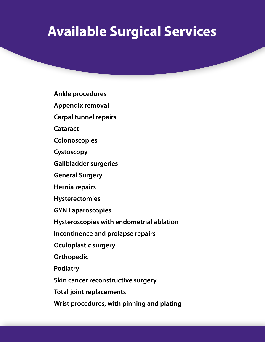# **Available Surgical Services**

**Ankle procedures**

**Appendix removal**

**Carpal tunnel repairs**

**Cataract**

**Colonoscopies**

**Cystoscopy**

**Gallbladder surgeries**

**General Surgery**

**Hernia repairs**

**Hysterectomies**

**GYN Laparoscopies**

**Hysteroscopies with endometrial ablation**

**Incontinence and prolapse repairs**

**Oculoplastic surgery**

**Orthopedic**

**Podiatry**

**Skin cancer reconstructive surgery**

**Total joint replacements**

**Wrist procedures, with pinning and plating**